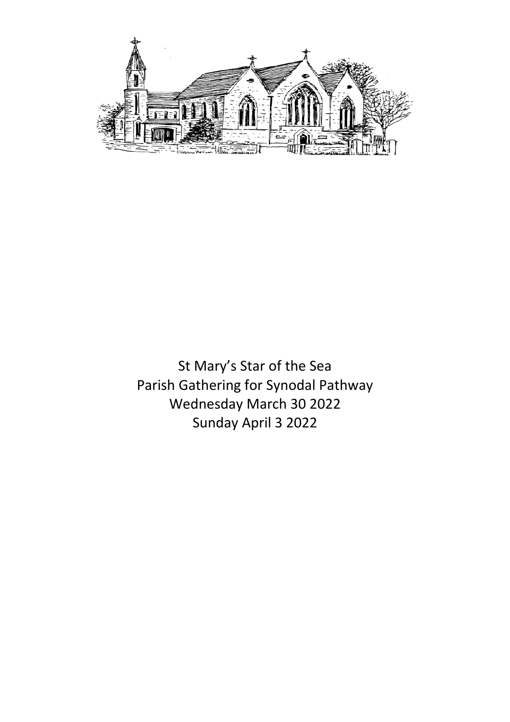

St Mary's Star of the Sea Parish Gathering for Synodal Pathway Wednesday March 30 2022 Sunday April 3 2022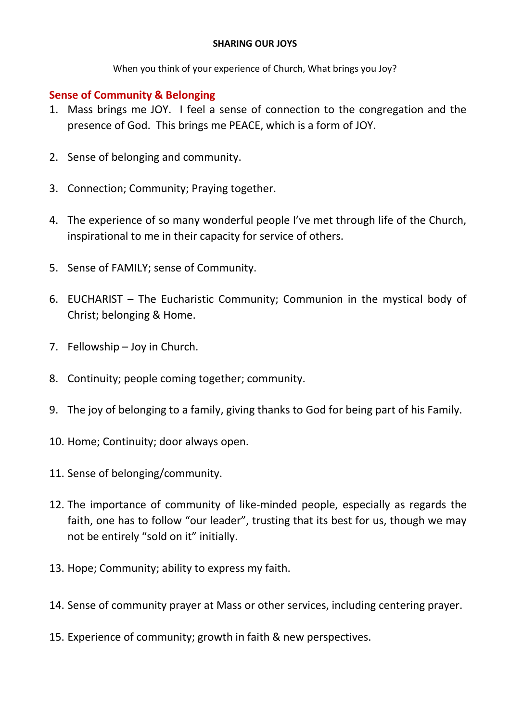#### **SHARING OUR JOYS**

When you think of your experience of Church, What brings you Joy?

### **Sense of Community & Belonging**

- 1. Mass brings me JOY. I feel a sense of connection to the congregation and the presence of God. This brings me PEACE, which is a form of JOY.
- 2. Sense of belonging and community.
- 3. Connection; Community; Praying together.
- 4. The experience of so many wonderful people I've met through life of the Church, inspirational to me in their capacity for service of others.
- 5. Sense of FAMILY; sense of Community.
- 6. EUCHARIST The Eucharistic Community; Communion in the mystical body of Christ; belonging & Home.
- 7. Fellowship Joy in Church.
- 8. Continuity; people coming together; community.
- 9. The joy of belonging to a family, giving thanks to God for being part of his Family.
- 10. Home; Continuity; door always open.
- 11. Sense of belonging/community.
- 12. The importance of community of like-minded people, especially as regards the faith, one has to follow "our leader", trusting that its best for us, though we may not be entirely "sold on it" initially.
- 13. Hope; Community; ability to express my faith.
- 14. Sense of community prayer at Mass or other services, including centering prayer.
- 15. Experience of community; growth in faith & new perspectives.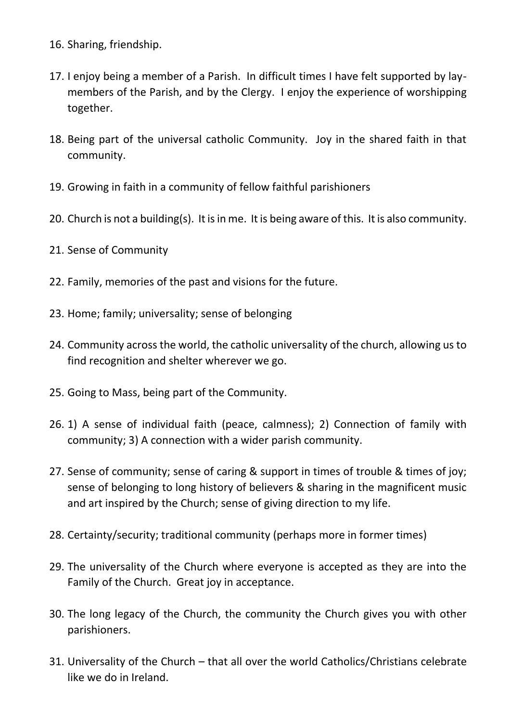- 16. Sharing, friendship.
- 17. I enjoy being a member of a Parish. In difficult times I have felt supported by laymembers of the Parish, and by the Clergy. I enjoy the experience of worshipping together.
- 18. Being part of the universal catholic Community. Joy in the shared faith in that community.
- 19. Growing in faith in a community of fellow faithful parishioners
- 20. Church is not a building(s). It is in me. It is being aware of this. It is also community.
- 21. Sense of Community
- 22. Family, memories of the past and visions for the future.
- 23. Home; family; universality; sense of belonging
- 24. Community across the world, the catholic universality of the church, allowing us to find recognition and shelter wherever we go.
- 25. Going to Mass, being part of the Community.
- 26. 1) A sense of individual faith (peace, calmness); 2) Connection of family with community; 3) A connection with a wider parish community.
- 27. Sense of community; sense of caring & support in times of trouble & times of joy; sense of belonging to long history of believers & sharing in the magnificent music and art inspired by the Church; sense of giving direction to my life.
- 28. Certainty/security; traditional community (perhaps more in former times)
- 29. The universality of the Church where everyone is accepted as they are into the Family of the Church. Great joy in acceptance.
- 30. The long legacy of the Church, the community the Church gives you with other parishioners.
- 31. Universality of the Church that all over the world Catholics/Christians celebrate like we do in Ireland.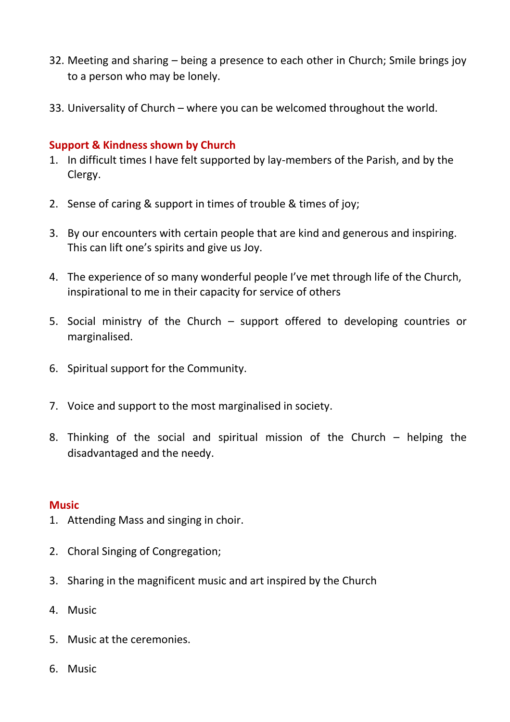- 32. Meeting and sharing being a presence to each other in Church; Smile brings joy to a person who may be lonely.
- 33. Universality of Church where you can be welcomed throughout the world.

### **Support & Kindness shown by Church**

- 1. In difficult times I have felt supported by lay-members of the Parish, and by the Clergy.
- 2. Sense of caring & support in times of trouble & times of joy;
- 3. By our encounters with certain people that are kind and generous and inspiring. This can lift one's spirits and give us Joy.
- 4. The experience of so many wonderful people I've met through life of the Church, inspirational to me in their capacity for service of others
- 5. Social ministry of the Church support offered to developing countries or marginalised.
- 6. Spiritual support for the Community.
- 7. Voice and support to the most marginalised in society.
- 8. Thinking of the social and spiritual mission of the Church helping the disadvantaged and the needy.

#### **Music**

- 1. Attending Mass and singing in choir.
- 2. Choral Singing of Congregation;
- 3. Sharing in the magnificent music and art inspired by the Church
- 4. Music
- 5. Music at the ceremonies.
- 6. Music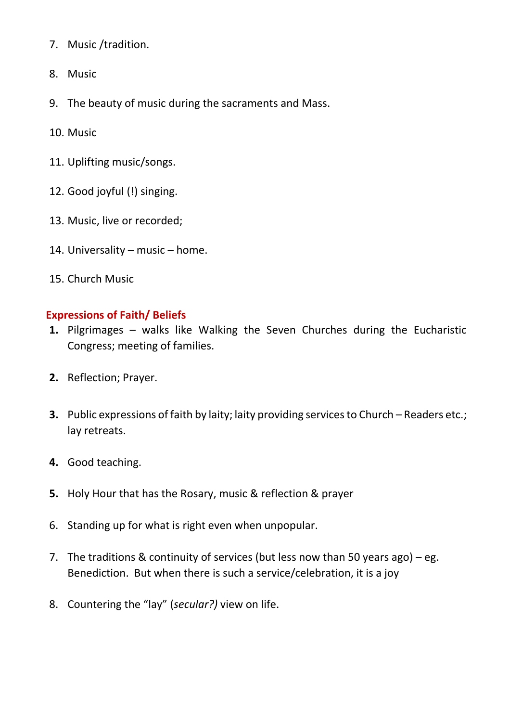- 7. Music /tradition.
- 8. Music
- 9. The beauty of music during the sacraments and Mass.
- 10. Music
- 11. Uplifting music/songs.
- 12. Good joyful (!) singing.
- 13. Music, live or recorded;
- 14. Universality music home.
- 15. Church Music

#### **Expressions of Faith/ Beliefs**

- **1.** Pilgrimages walks like Walking the Seven Churches during the Eucharistic Congress; meeting of families.
- **2.** Reflection; Prayer.
- **3.** Public expressions of faith by laity; laity providing services to Church Readers etc.; lay retreats.
- **4.** Good teaching.
- **5.** Holy Hour that has the Rosary, music & reflection & prayer
- 6. Standing up for what is right even when unpopular.
- 7. The traditions & continuity of services (but less now than 50 years ago) eg. Benediction. But when there is such a service/celebration, it is a joy
- 8. Countering the "lay" (*secular?)* view on life.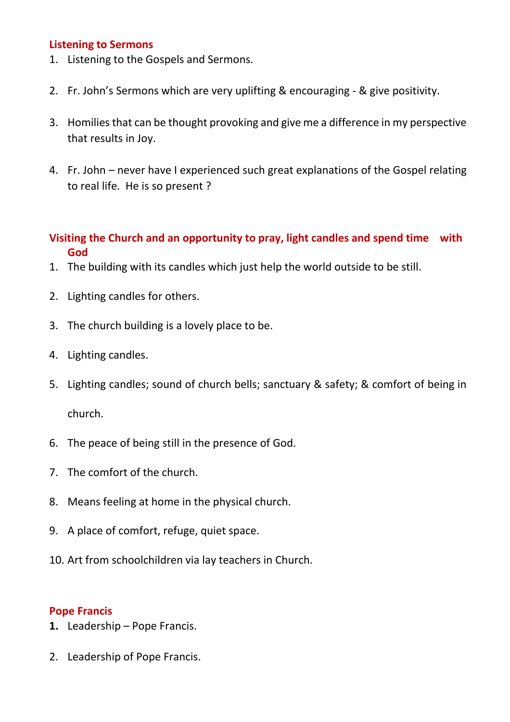#### **Listening to Sermons**

- 1. Listening to the Gospels and Sermons.
- 2. Fr. John's Sermons which are very uplifting & encouraging & give positivity.
- 3. Homilies that can be thought provoking and give me a difference in my perspective that results in Joy.
- 4. Fr. John never have I experienced such great explanations of the Gospel relating to real life. He is so present ?

# **Visiting the Church and an opportunity to pray, light candles and spend time with God**

- 1. The building with its candles which just help the world outside to be still.
- 2. Lighting candles for others.
- 3. The church building is a lovely place to be.
- 4. Lighting candles.
- 5. Lighting candles; sound of church bells; sanctuary & safety; & comfort of being in church.
- 6. The peace of being still in the presence of God.
- 7. The comfort of the church.
- 8. Means feeling at home in the physical church.
- 9. A place of comfort, refuge, quiet space.
- 10. Art from schoolchildren via lay teachers in Church.

#### **Pope Francis**

- **1.** Leadership Pope Francis.
- 2. Leadership of Pope Francis.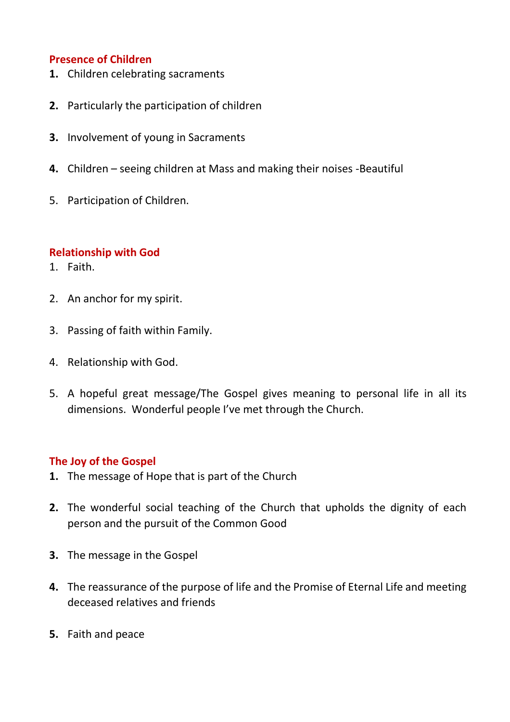## **Presence of Children**

- **1.** Children celebrating sacraments
- **2.** Particularly the participation of children
- **3.** Involvement of young in Sacraments
- **4.** Children seeing children at Mass and making their noises -Beautiful
- 5. Participation of Children.

#### **Relationship with God**

- 1. Faith.
- 2. An anchor for my spirit.
- 3. Passing of faith within Family.
- 4. Relationship with God.
- 5. A hopeful great message/The Gospel gives meaning to personal life in all its dimensions. Wonderful people I've met through the Church.

#### **The Joy of the Gospel**

- **1.** The message of Hope that is part of the Church
- **2.** The wonderful social teaching of the Church that upholds the dignity of each person and the pursuit of the Common Good
- **3.** The message in the Gospel
- **4.** The reassurance of the purpose of life and the Promise of Eternal Life and meeting deceased relatives and friends
- **5.** Faith and peace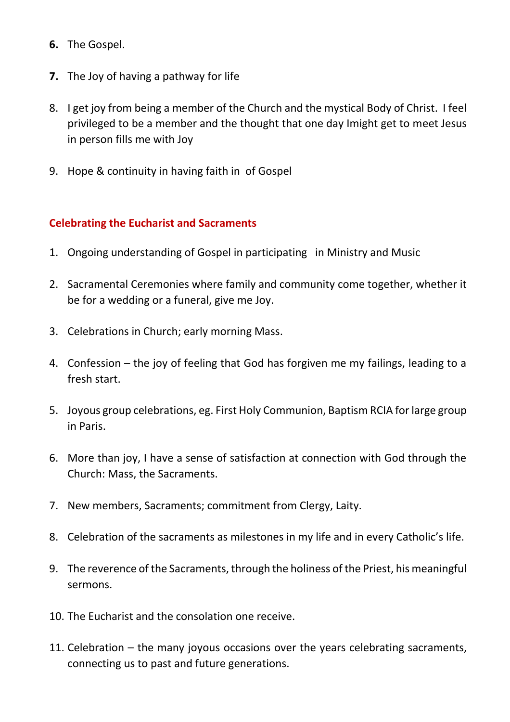- **6.** The Gospel.
- **7.** The Joy of having a pathway for life
- 8. I get joy from being a member of the Church and the mystical Body of Christ. I feel privileged to be a member and the thought that one day Imight get to meet Jesus in person fills me with Joy
- 9. Hope & continuity in having faith in of Gospel

## **Celebrating the Eucharist and Sacraments**

- 1. Ongoing understanding of Gospel in participating in Ministry and Music
- 2. Sacramental Ceremonies where family and community come together, whether it be for a wedding or a funeral, give me Joy.
- 3. Celebrations in Church; early morning Mass.
- 4. Confession the joy of feeling that God has forgiven me my failings, leading to a fresh start.
- 5. Joyous group celebrations, eg. First Holy Communion, Baptism RCIA for large group in Paris.
- 6. More than joy, I have a sense of satisfaction at connection with God through the Church: Mass, the Sacraments.
- 7. New members, Sacraments; commitment from Clergy, Laity.
- 8. Celebration of the sacraments as milestones in my life and in every Catholic's life.
- 9. The reverence of the Sacraments, through the holiness of the Priest, his meaningful sermons.
- 10. The Eucharist and the consolation one receive.
- 11. Celebration the many joyous occasions over the years celebrating sacraments, connecting us to past and future generations.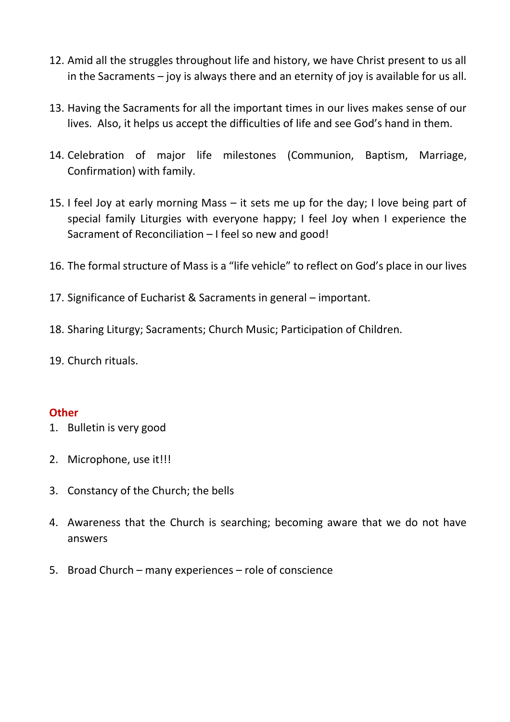- 12. Amid all the struggles throughout life and history, we have Christ present to us all in the Sacraments – joy is always there and an eternity of joy is available for us all.
- 13. Having the Sacraments for all the important times in our lives makes sense of our lives. Also, it helps us accept the difficulties of life and see God's hand in them.
- 14. Celebration of major life milestones (Communion, Baptism, Marriage, Confirmation) with family.
- 15. I feel Joy at early morning Mass it sets me up for the day; I love being part of special family Liturgies with everyone happy; I feel Joy when I experience the Sacrament of Reconciliation – I feel so new and good!
- 16. The formal structure of Mass is a "life vehicle" to reflect on God's place in our lives
- 17. Significance of Eucharist & Sacraments in general important.
- 18. Sharing Liturgy; Sacraments; Church Music; Participation of Children.
- 19. Church rituals.

#### **Other**

- 1. Bulletin is very good
- 2. Microphone, use it!!!
- 3. Constancy of the Church; the bells
- 4. Awareness that the Church is searching; becoming aware that we do not have answers
- 5. Broad Church many experiences role of conscience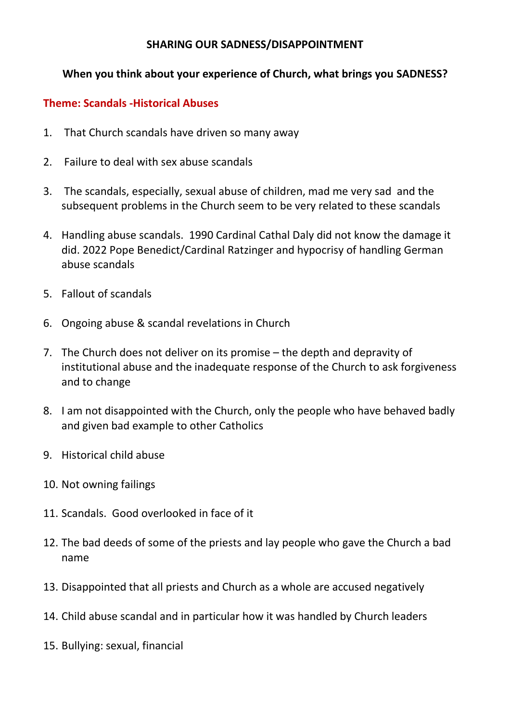### **SHARING OUR SADNESS/DISAPPOINTMENT**

# **When you think about your experience of Church, what brings you SADNESS?**

# **Theme: Scandals -Historical Abuses**

- 1. That Church scandals have driven so many away
- 2. Failure to deal with sex abuse scandals
- 3. The scandals, especially, sexual abuse of children, mad me very sad and the subsequent problems in the Church seem to be very related to these scandals
- 4. Handling abuse scandals. 1990 Cardinal Cathal Daly did not know the damage it did. 2022 Pope Benedict/Cardinal Ratzinger and hypocrisy of handling German abuse scandals
- 5. Fallout of scandals
- 6. Ongoing abuse & scandal revelations in Church
- 7. The Church does not deliver on its promise the depth and depravity of institutional abuse and the inadequate response of the Church to ask forgiveness and to change
- 8. I am not disappointed with the Church, only the people who have behaved badly and given bad example to other Catholics
- 9. Historical child abuse
- 10. Not owning failings
- 11. Scandals. Good overlooked in face of it
- 12. The bad deeds of some of the priests and lay people who gave the Church a bad name
- 13. Disappointed that all priests and Church as a whole are accused negatively
- 14. Child abuse scandal and in particular how it was handled by Church leaders
- 15. Bullying: sexual, financial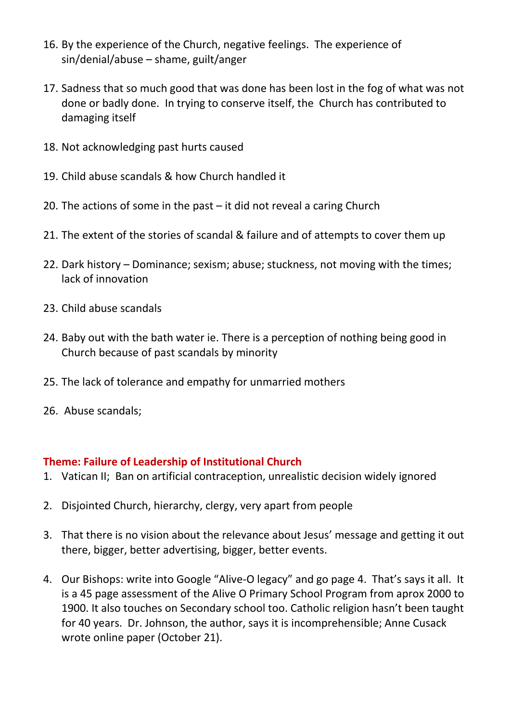- 16. By the experience of the Church, negative feelings. The experience of sin/denial/abuse – shame, guilt/anger
- 17. Sadness that so much good that was done has been lost in the fog of what was not done or badly done. In trying to conserve itself, the Church has contributed to damaging itself
- 18. Not acknowledging past hurts caused
- 19. Child abuse scandals & how Church handled it
- 20. The actions of some in the past it did not reveal a caring Church
- 21. The extent of the stories of scandal & failure and of attempts to cover them up
- 22. Dark history Dominance; sexism; abuse; stuckness, not moving with the times; lack of innovation
- 23. Child abuse scandals
- 24. Baby out with the bath water ie. There is a perception of nothing being good in Church because of past scandals by minority
- 25. The lack of tolerance and empathy for unmarried mothers
- 26. Abuse scandals;

#### **Theme: Failure of Leadership of Institutional Church**

- 1. Vatican II; Ban on artificial contraception, unrealistic decision widely ignored
- 2. Disjointed Church, hierarchy, clergy, very apart from people
- 3. That there is no vision about the relevance about Jesus' message and getting it out there, bigger, better advertising, bigger, better events.
- 4. Our Bishops: write into Google "Alive-O legacy" and go page 4. That's says it all. It is a 45 page assessment of the Alive O Primary School Program from aprox 2000 to 1900. It also touches on Secondary school too. Catholic religion hasn't been taught for 40 years. Dr. Johnson, the author, says it is incomprehensible; Anne Cusack wrote online paper (October 21).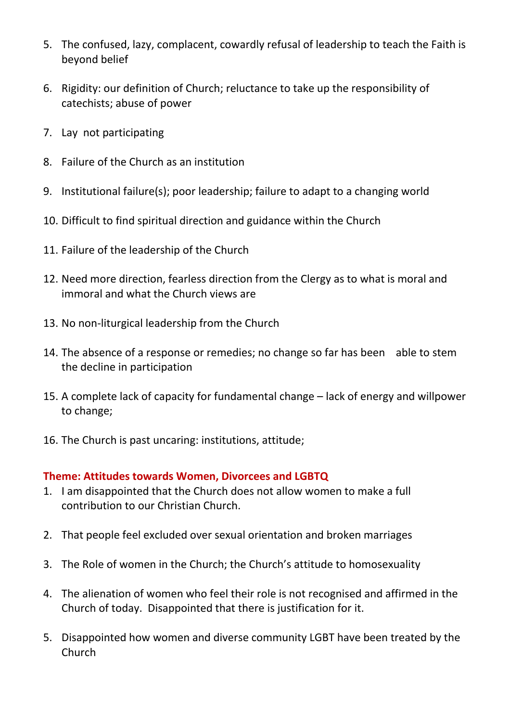- 5. The confused, lazy, complacent, cowardly refusal of leadership to teach the Faith is beyond belief
- 6. Rigidity: our definition of Church; reluctance to take up the responsibility of catechists; abuse of power
- 7. Lay not participating
- 8. Failure of the Church as an institution
- 9. Institutional failure(s); poor leadership; failure to adapt to a changing world
- 10. Difficult to find spiritual direction and guidance within the Church
- 11. Failure of the leadership of the Church
- 12. Need more direction, fearless direction from the Clergy as to what is moral and immoral and what the Church views are
- 13. No non-liturgical leadership from the Church
- 14. The absence of a response or remedies; no change so far has been able to stem the decline in participation
- 15. A complete lack of capacity for fundamental change lack of energy and willpower to change;
- 16. The Church is past uncaring: institutions, attitude;

## **Theme: Attitudes towards Women, Divorcees and LGBTQ**

- 1. I am disappointed that the Church does not allow women to make a full contribution to our Christian Church.
- 2. That people feel excluded over sexual orientation and broken marriages
- 3. The Role of women in the Church; the Church's attitude to homosexuality
- 4. The alienation of women who feel their role is not recognised and affirmed in the Church of today. Disappointed that there is justification for it.
- 5. Disappointed how women and diverse community LGBT have been treated by the Church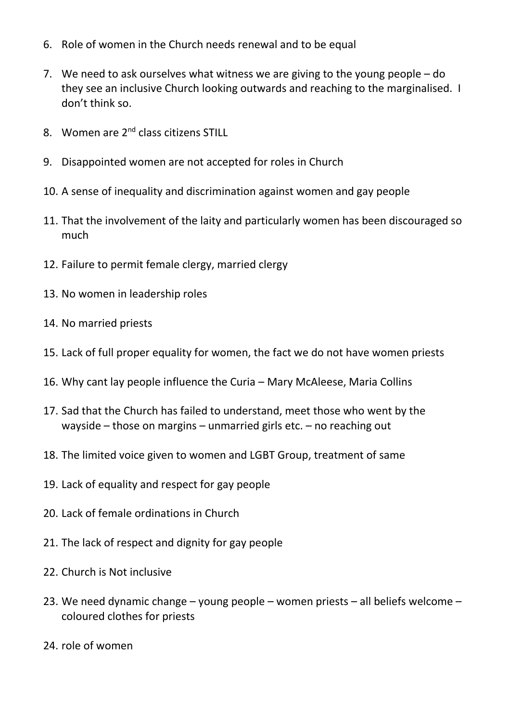- 6. Role of women in the Church needs renewal and to be equal
- 7. We need to ask ourselves what witness we are giving to the young people do they see an inclusive Church looking outwards and reaching to the marginalised. I don't think so.
- 8. Women are 2<sup>nd</sup> class citizens STILL
- 9. Disappointed women are not accepted for roles in Church
- 10. A sense of inequality and discrimination against women and gay people
- 11. That the involvement of the laity and particularly women has been discouraged so much
- 12. Failure to permit female clergy, married clergy
- 13. No women in leadership roles
- 14. No married priests
- 15. Lack of full proper equality for women, the fact we do not have women priests
- 16. Why cant lay people influence the Curia Mary McAleese, Maria Collins
- 17. Sad that the Church has failed to understand, meet those who went by the wayside – those on margins – unmarried girls etc. – no reaching out
- 18. The limited voice given to women and LGBT Group, treatment of same
- 19. Lack of equality and respect for gay people
- 20. Lack of female ordinations in Church
- 21. The lack of respect and dignity for gay people
- 22. Church is Not inclusive
- 23. We need dynamic change young people women priests all beliefs welcome coloured clothes for priests
- 24. role of women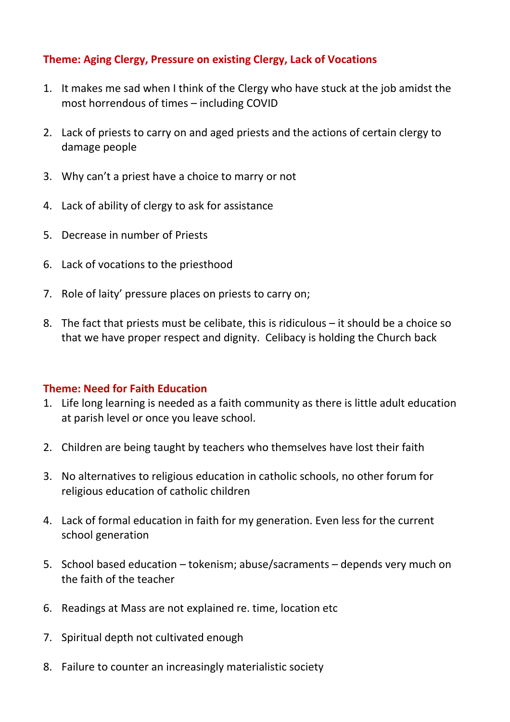# **Theme: Aging Clergy, Pressure on existing Clergy, Lack of Vocations**

- 1. It makes me sad when I think of the Clergy who have stuck at the job amidst the most horrendous of times – including COVID
- 2. Lack of priests to carry on and aged priests and the actions of certain clergy to damage people
- 3. Why can't a priest have a choice to marry or not
- 4. Lack of ability of clergy to ask for assistance
- 5. Decrease in number of Priests
- 6. Lack of vocations to the priesthood
- 7. Role of laity' pressure places on priests to carry on;
- 8. The fact that priests must be celibate, this is ridiculous it should be a choice so that we have proper respect and dignity. Celibacy is holding the Church back

## **Theme: Need for Faith Education**

- 1. Life long learning is needed as a faith community as there is little adult education at parish level or once you leave school.
- 2. Children are being taught by teachers who themselves have lost their faith
- 3. No alternatives to religious education in catholic schools, no other forum for religious education of catholic children
- 4. Lack of formal education in faith for my generation. Even less for the current school generation
- 5. School based education tokenism; abuse/sacraments depends very much on the faith of the teacher
- 6. Readings at Mass are not explained re. time, location etc
- 7. Spiritual depth not cultivated enough
- 8. Failure to counter an increasingly materialistic society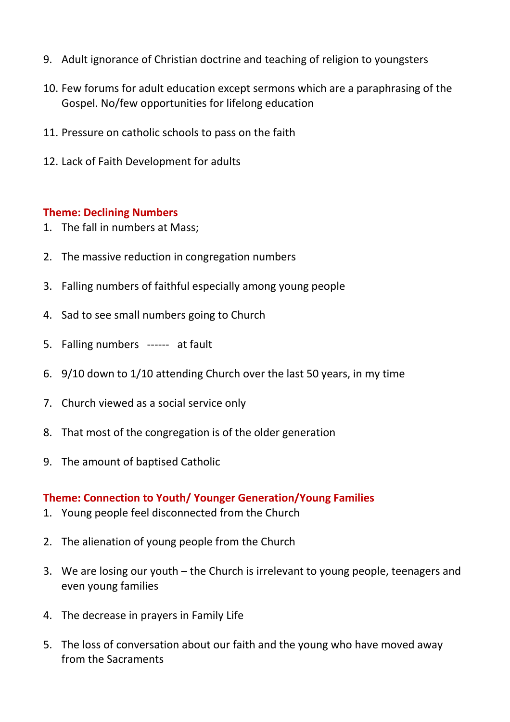- 9. Adult ignorance of Christian doctrine and teaching of religion to youngsters
- 10. Few forums for adult education except sermons which are a paraphrasing of the Gospel. No/few opportunities for lifelong education
- 11. Pressure on catholic schools to pass on the faith
- 12. Lack of Faith Development for adults

### **Theme: Declining Numbers**

- 1. The fall in numbers at Mass;
- 2. The massive reduction in congregation numbers
- 3. Falling numbers of faithful especially among young people
- 4. Sad to see small numbers going to Church
- 5. Falling numbers ------ at fault
- 6. 9/10 down to 1/10 attending Church over the last 50 years, in my time
- 7. Church viewed as a social service only
- 8. That most of the congregation is of the older generation
- 9. The amount of baptised Catholic

#### **Theme: Connection to Youth/ Younger Generation/Young Families**

- 1. Young people feel disconnected from the Church
- 2. The alienation of young people from the Church
- 3. We are losing our youth the Church is irrelevant to young people, teenagers and even young families
- 4. The decrease in prayers in Family Life
- 5. The loss of conversation about our faith and the young who have moved away from the Sacraments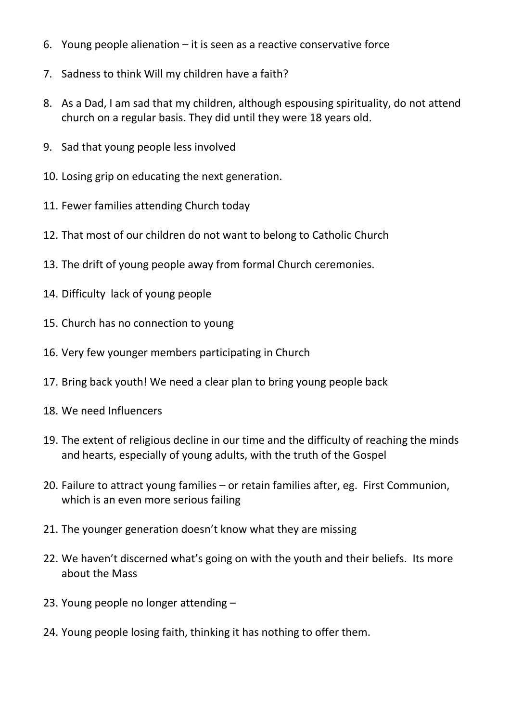- 6. Young people alienation it is seen as a reactive conservative force
- 7. Sadness to think Will my children have a faith?
- 8. As a Dad, I am sad that my children, although espousing spirituality, do not attend church on a regular basis. They did until they were 18 years old.
- 9. Sad that young people less involved
- 10. Losing grip on educating the next generation.
- 11. Fewer families attending Church today
- 12. That most of our children do not want to belong to Catholic Church
- 13. The drift of young people away from formal Church ceremonies.
- 14. Difficulty lack of young people
- 15. Church has no connection to young
- 16. Very few younger members participating in Church
- 17. Bring back youth! We need a clear plan to bring young people back
- 18. We need Influencers
- 19. The extent of religious decline in our time and the difficulty of reaching the minds and hearts, especially of young adults, with the truth of the Gospel
- 20. Failure to attract young families or retain families after, eg. First Communion, which is an even more serious failing
- 21. The younger generation doesn't know what they are missing
- 22. We haven't discerned what's going on with the youth and their beliefs. Its more about the Mass
- 23. Young people no longer attending –
- 24. Young people losing faith, thinking it has nothing to offer them.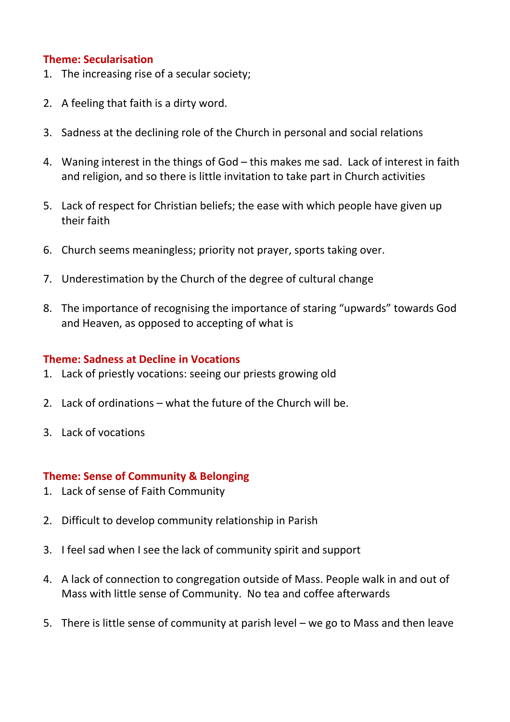### **Theme: Secularisation**

- 1. The increasing rise of a secular society;
- 2. A feeling that faith is a dirty word.
- 3. Sadness at the declining role of the Church in personal and social relations
- 4. Waning interest in the things of God this makes me sad. Lack of interest in faith and religion, and so there is little invitation to take part in Church activities
- 5. Lack of respect for Christian beliefs; the ease with which people have given up their faith
- 6. Church seems meaningless; priority not prayer, sports taking over.
- 7. Underestimation by the Church of the degree of cultural change
- 8. The importance of recognising the importance of staring "upwards" towards God and Heaven, as opposed to accepting of what is

#### **Theme: Sadness at Decline in Vocations**

- 1. Lack of priestly vocations: seeing our priests growing old
- 2. Lack of ordinations what the future of the Church will be.
- 3. Lack of vocations

#### **Theme: Sense of Community & Belonging**

- 1. Lack of sense of Faith Community
- 2. Difficult to develop community relationship in Parish
- 3. I feel sad when I see the lack of community spirit and support
- 4. A lack of connection to congregation outside of Mass. People walk in and out of Mass with little sense of Community. No tea and coffee afterwards
- 5. There is little sense of community at parish level we go to Mass and then leave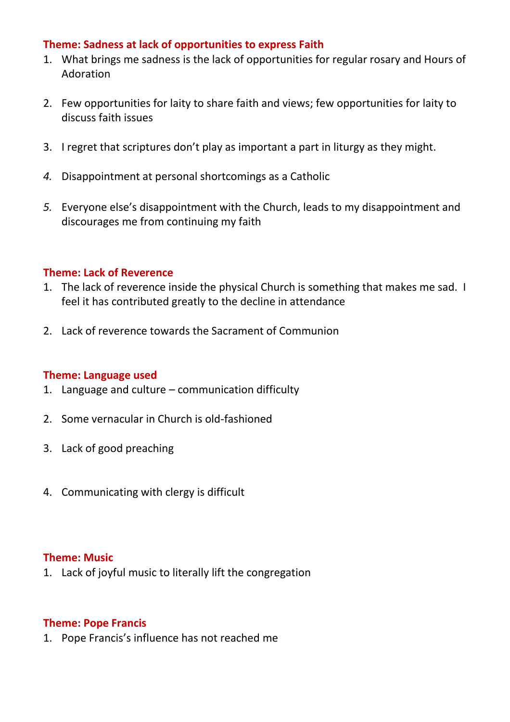### **Theme: Sadness at lack of opportunities to express Faith**

- 1. What brings me sadness is the lack of opportunities for regular rosary and Hours of Adoration
- 2. Few opportunities for laity to share faith and views; few opportunities for laity to discuss faith issues
- 3. I regret that scriptures don't play as important a part in liturgy as they might.
- *4.* Disappointment at personal shortcomings as a Catholic
- *5.* Everyone else's disappointment with the Church, leads to my disappointment and discourages me from continuing my faith

### **Theme: Lack of Reverence**

- 1. The lack of reverence inside the physical Church is something that makes me sad. I feel it has contributed greatly to the decline in attendance
- 2. Lack of reverence towards the Sacrament of Communion

#### **Theme: Language used**

- 1. Language and culture communication difficulty
- 2. Some vernacular in Church is old-fashioned
- 3. Lack of good preaching
- 4. Communicating with clergy is difficult

#### **Theme: Music**

1. Lack of joyful music to literally lift the congregation

#### **Theme: Pope Francis**

1. Pope Francis's influence has not reached me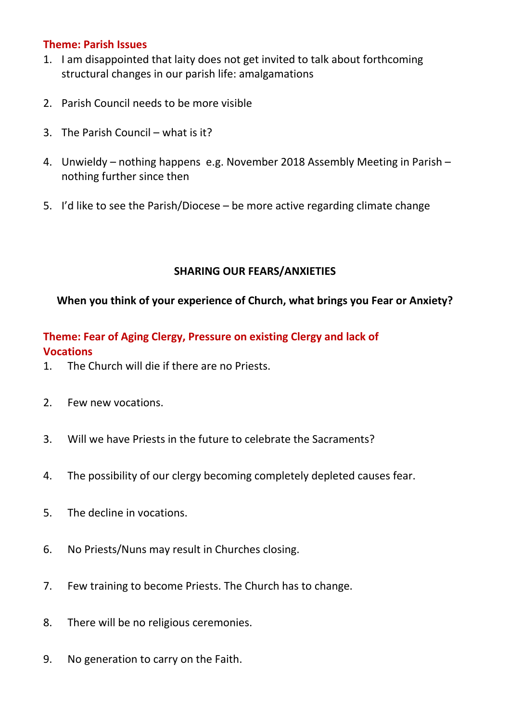### **Theme: Parish Issues**

- 1. I am disappointed that laity does not get invited to talk about forthcoming structural changes in our parish life: amalgamations
- 2. Parish Council needs to be more visible
- 3. The Parish Council what is it?
- 4. Unwieldy nothing happens e.g. November 2018 Assembly Meeting in Parish nothing further since then
- 5. I'd like to see the Parish/Diocese be more active regarding climate change

# **SHARING OUR FEARS/ANXIETIES**

# **When you think of your experience of Church, what brings you Fear or Anxiety?**

# **Theme: Fear of Aging Clergy, Pressure on existing Clergy and lack of Vocations**

- 1. The Church will die if there are no Priests.
- 2. Few new vocations.
- 3. Will we have Priests in the future to celebrate the Sacraments?
- 4. The possibility of our clergy becoming completely depleted causes fear.
- 5. The decline in vocations.
- 6. No Priests/Nuns may result in Churches closing.
- 7. Few training to become Priests. The Church has to change.
- 8. There will be no religious ceremonies.
- 9. No generation to carry on the Faith.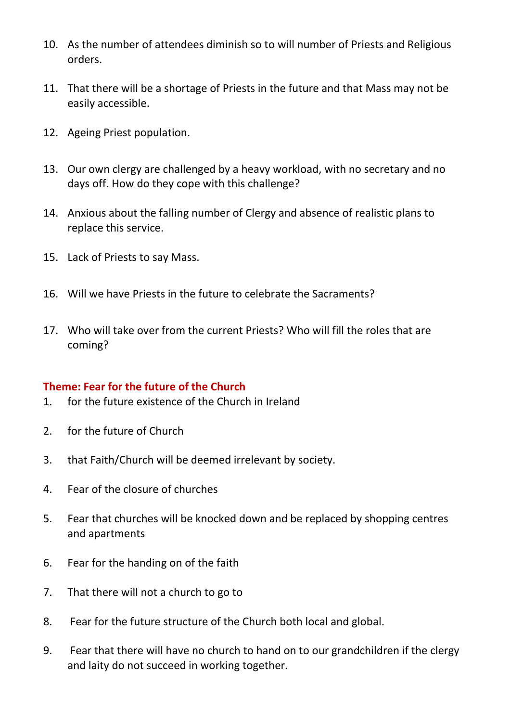- 10. As the number of attendees diminish so to will number of Priests and Religious orders.
- 11. That there will be a shortage of Priests in the future and that Mass may not be easily accessible.
- 12. Ageing Priest population.
- 13. Our own clergy are challenged by a heavy workload, with no secretary and no days off. How do they cope with this challenge?
- 14. Anxious about the falling number of Clergy and absence of realistic plans to replace this service.
- 15. Lack of Priests to say Mass.
- 16. Will we have Priests in the future to celebrate the Sacraments?
- 17. Who will take over from the current Priests? Who will fill the roles that are coming?

## **Theme: Fear for the future of the Church**

- 1. for the future existence of the Church in Ireland
- 2. for the future of Church
- 3. that Faith/Church will be deemed irrelevant by society.
- 4. Fear of the closure of churches
- 5. Fear that churches will be knocked down and be replaced by shopping centres and apartments
- 6. Fear for the handing on of the faith
- 7. That there will not a church to go to
- 8. Fear for the future structure of the Church both local and global.
- 9. Fear that there will have no church to hand on to our grandchildren if the clergy and laity do not succeed in working together.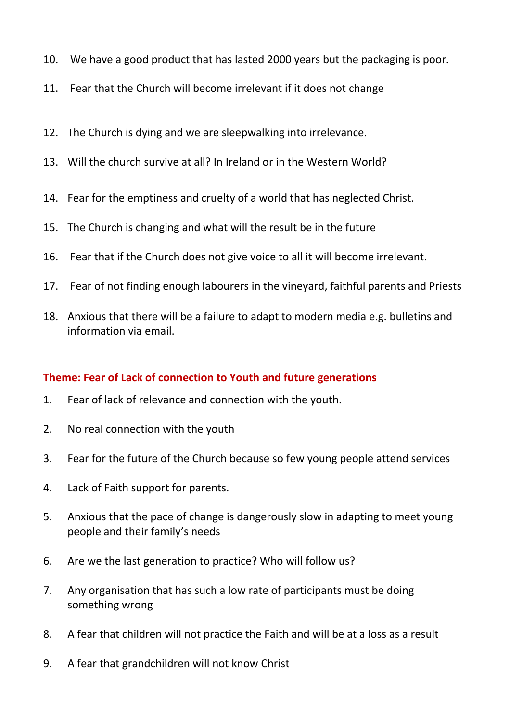- 10. We have a good product that has lasted 2000 years but the packaging is poor.
- 11. Fear that the Church will become irrelevant if it does not change
- 12. The Church is dying and we are sleepwalking into irrelevance.
- 13. Will the church survive at all? In Ireland or in the Western World?
- 14. Fear for the emptiness and cruelty of a world that has neglected Christ.
- 15. The Church is changing and what will the result be in the future
- 16. Fear that if the Church does not give voice to all it will become irrelevant.
- 17. Fear of not finding enough labourers in the vineyard, faithful parents and Priests
- 18. Anxious that there will be a failure to adapt to modern media e.g. bulletins and information via email.

## **Theme: Fear of Lack of connection to Youth and future generations**

- 1. Fear of lack of relevance and connection with the youth.
- 2. No real connection with the youth
- 3. Fear for the future of the Church because so few young people attend services
- 4. Lack of Faith support for parents.
- 5. Anxious that the pace of change is dangerously slow in adapting to meet young people and their family's needs
- 6. Are we the last generation to practice? Who will follow us?
- 7. Any organisation that has such a low rate of participants must be doing something wrong
- 8. A fear that children will not practice the Faith and will be at a loss as a result
- 9. A fear that grandchildren will not know Christ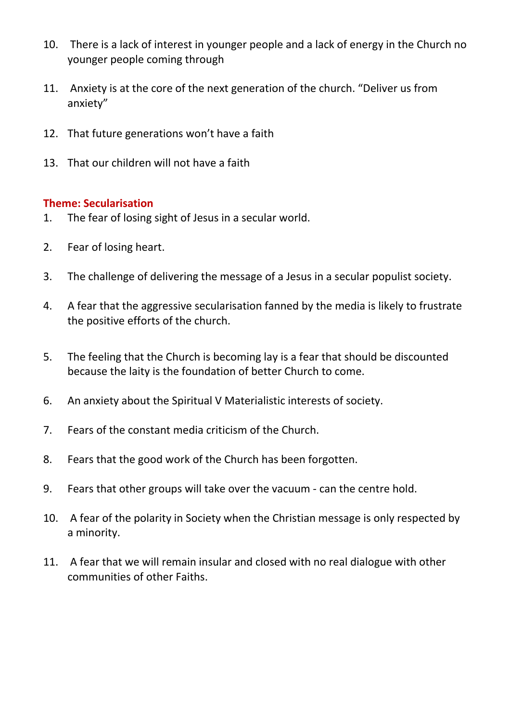- 10. There is a lack of interest in younger people and a lack of energy in the Church no younger people coming through
- 11. Anxiety is at the core of the next generation of the church. "Deliver us from anxiety"
- 12. That future generations won't have a faith
- 13. That our children will not have a faith

#### **Theme: Secularisation**

- 1. The fear of losing sight of Jesus in a secular world.
- 2. Fear of losing heart.
- 3. The challenge of delivering the message of a Jesus in a secular populist society.
- 4. A fear that the aggressive secularisation fanned by the media is likely to frustrate the positive efforts of the church.
- 5. The feeling that the Church is becoming lay is a fear that should be discounted because the laity is the foundation of better Church to come.
- 6. An anxiety about the Spiritual V Materialistic interests of society.
- 7. Fears of the constant media criticism of the Church.
- 8. Fears that the good work of the Church has been forgotten.
- 9. Fears that other groups will take over the vacuum can the centre hold.
- 10. A fear of the polarity in Society when the Christian message is only respected by a minority.
- 11. A fear that we will remain insular and closed with no real dialogue with other communities of other Faiths.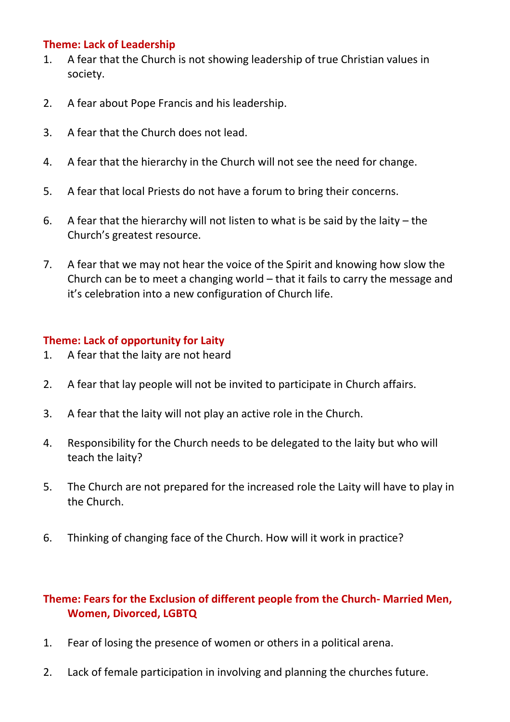### **Theme: Lack of Leadership**

- 1. A fear that the Church is not showing leadership of true Christian values in society.
- 2. A fear about Pope Francis and his leadership.
- 3. A fear that the Church does not lead.
- 4. A fear that the hierarchy in the Church will not see the need for change.
- 5. A fear that local Priests do not have a forum to bring their concerns.
- 6. A fear that the hierarchy will not listen to what is be said by the laity  $-$  the Church's greatest resource.
- 7. A fear that we may not hear the voice of the Spirit and knowing how slow the Church can be to meet a changing world – that it fails to carry the message and it's celebration into a new configuration of Church life.

# **Theme: Lack of opportunity for Laity**

- 1. A fear that the laity are not heard
- 2. A fear that lay people will not be invited to participate in Church affairs.
- 3. A fear that the laity will not play an active role in the Church.
- 4. Responsibility for the Church needs to be delegated to the laity but who will teach the laity?
- 5. The Church are not prepared for the increased role the Laity will have to play in the Church.
- 6. Thinking of changing face of the Church. How will it work in practice?

# **Theme: Fears for the Exclusion of different people from the Church- Married Men, Women, Divorced, LGBTQ**

- 1. Fear of losing the presence of women or others in a political arena.
- 2. Lack of female participation in involving and planning the churches future.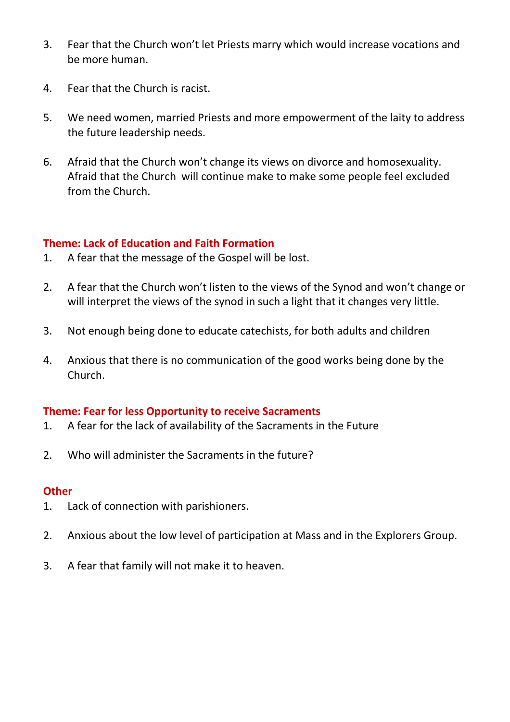- 3. Fear that the Church won't let Priests marry which would increase vocations and be more human.
- 4. Fear that the Church is racist.
- 5. We need women, married Priests and more empowerment of the laity to address the future leadership needs.
- 6. Afraid that the Church won't change its views on divorce and homosexuality. Afraid that the Church will continue make to make some people feel excluded from the Church.

# **Theme: Lack of Education and Faith Formation**

- 1. A fear that the message of the Gospel will be lost.
- 2. A fear that the Church won't listen to the views of the Synod and won't change or will interpret the views of the synod in such a light that it changes very little.
- 3. Not enough being done to educate catechists, for both adults and children
- 4. Anxious that there is no communication of the good works being done by the Church.

## **Theme: Fear for less Opportunity to receive Sacraments**

- 1. A fear for the lack of availability of the Sacraments in the Future
- 2. Who will administer the Sacraments in the future?

## **Other**

- 1. Lack of connection with parishioners.
- 2. Anxious about the low level of participation at Mass and in the Explorers Group.
- 3. A fear that family will not make it to heaven.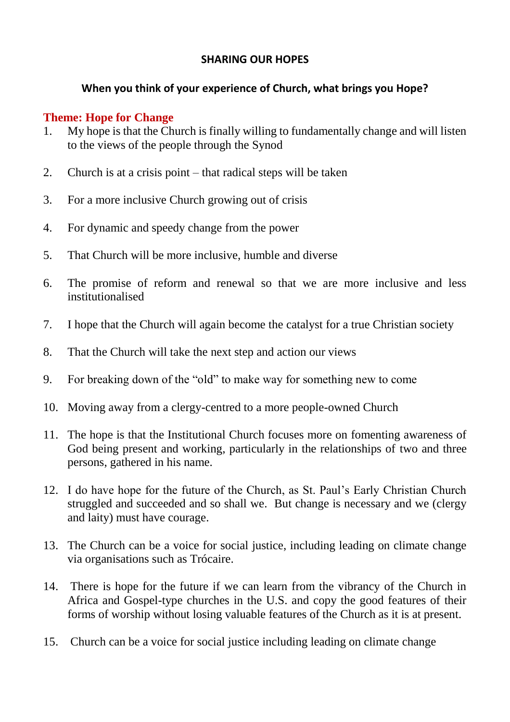## **SHARING OUR HOPES**

# **When you think of your experience of Church, what brings you Hope?**

# **Theme: Hope for Change**

- 1. My hope is that the Church is finally willing to fundamentally change and will listen to the views of the people through the Synod
- 2. Church is at a crisis point that radical steps will be taken
- 3. For a more inclusive Church growing out of crisis
- 4. For dynamic and speedy change from the power
- 5. That Church will be more inclusive, humble and diverse
- 6. The promise of reform and renewal so that we are more inclusive and less institutionalised
- 7. I hope that the Church will again become the catalyst for a true Christian society
- 8. That the Church will take the next step and action our views
- 9. For breaking down of the "old" to make way for something new to come
- 10. Moving away from a clergy-centred to a more people-owned Church
- 11. The hope is that the Institutional Church focuses more on fomenting awareness of God being present and working, particularly in the relationships of two and three persons, gathered in his name.
- 12. I do have hope for the future of the Church, as St. Paul's Early Christian Church struggled and succeeded and so shall we. But change is necessary and we (clergy and laity) must have courage.
- 13. The Church can be a voice for social justice, including leading on climate change via organisations such as Trócaire.
- 14. There is hope for the future if we can learn from the vibrancy of the Church in Africa and Gospel-type churches in the U.S. and copy the good features of their forms of worship without losing valuable features of the Church as it is at present.
- 15. Church can be a voice for social justice including leading on climate change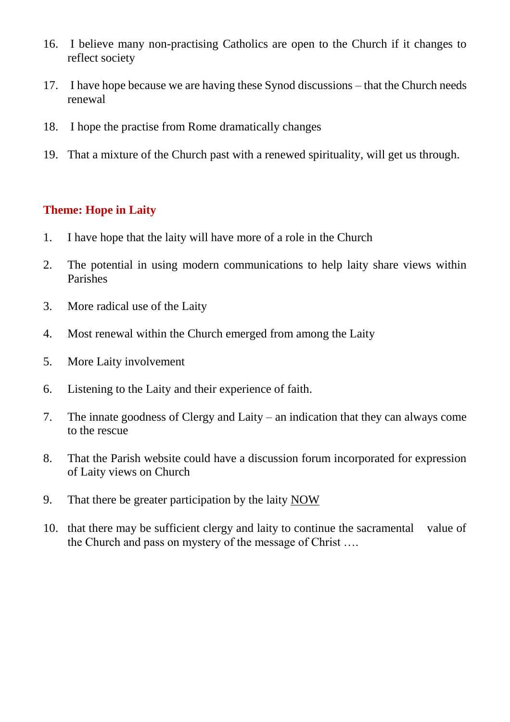- 16. I believe many non-practising Catholics are open to the Church if it changes to reflect society
- 17. I have hope because we are having these Synod discussions that the Church needs renewal
- 18. I hope the practise from Rome dramatically changes
- 19. That a mixture of the Church past with a renewed spirituality, will get us through.

## **Theme: Hope in Laity**

- 1. I have hope that the laity will have more of a role in the Church
- 2. The potential in using modern communications to help laity share views within Parishes
- 3. More radical use of the Laity
- 4. Most renewal within the Church emerged from among the Laity
- 5. More Laity involvement
- 6. Listening to the Laity and their experience of faith.
- 7. The innate goodness of Clergy and Laity an indication that they can always come to the rescue
- 8. That the Parish website could have a discussion forum incorporated for expression of Laity views on Church
- 9. That there be greater participation by the laity NOW
- 10. that there may be sufficient clergy and laity to continue the sacramental value of the Church and pass on mystery of the message of Christ ….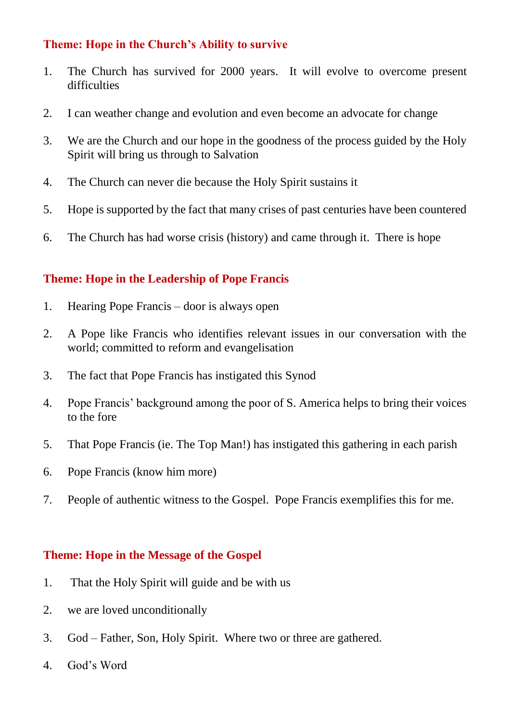# **Theme: Hope in the Church's Ability to survive**

- 1. The Church has survived for 2000 years. It will evolve to overcome present difficulties
- 2. I can weather change and evolution and even become an advocate for change
- 3. We are the Church and our hope in the goodness of the process guided by the Holy Spirit will bring us through to Salvation
- 4. The Church can never die because the Holy Spirit sustains it
- 5. Hope is supported by the fact that many crises of past centuries have been countered
- 6. The Church has had worse crisis (history) and came through it. There is hope

# **Theme: Hope in the Leadership of Pope Francis**

- 1. Hearing Pope Francis door is always open
- 2. A Pope like Francis who identifies relevant issues in our conversation with the world; committed to reform and evangelisation
- 3. The fact that Pope Francis has instigated this Synod
- 4. Pope Francis' background among the poor of S. America helps to bring their voices to the fore
- 5. That Pope Francis (ie. The Top Man!) has instigated this gathering in each parish
- 6. Pope Francis (know him more)
- 7. People of authentic witness to the Gospel. Pope Francis exemplifies this for me.

#### **Theme: Hope in the Message of the Gospel**

- 1. That the Holy Spirit will guide and be with us
- 2. we are loved unconditionally
- 3. God Father, Son, Holy Spirit. Where two or three are gathered.
- 4. God's Word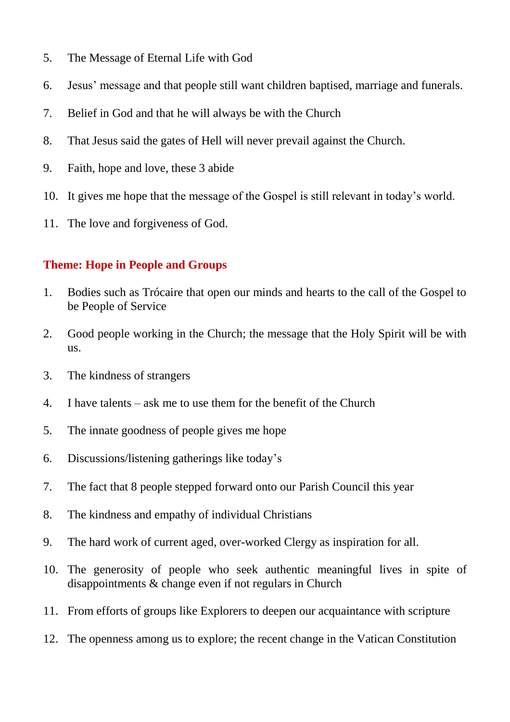- 5. The Message of Eternal Life with God
- 6. Jesus' message and that people still want children baptised, marriage and funerals.
- 7. Belief in God and that he will always be with the Church
- 8. That Jesus said the gates of Hell will never prevail against the Church.
- 9. Faith, hope and love, these 3 abide
- 10. It gives me hope that the message of the Gospel is still relevant in today's world.
- 11. The love and forgiveness of God.

# **Theme: Hope in People and Groups**

- 1. Bodies such as Trócaire that open our minds and hearts to the call of the Gospel to be People of Service
- 2. Good people working in the Church; the message that the Holy Spirit will be with us.
- 3. The kindness of strangers
- 4. I have talents ask me to use them for the benefit of the Church
- 5. The innate goodness of people gives me hope
- 6. Discussions/listening gatherings like today's
- 7. The fact that 8 people stepped forward onto our Parish Council this year
- 8. The kindness and empathy of individual Christians
- 9. The hard work of current aged, over-worked Clergy as inspiration for all.
- 10. The generosity of people who seek authentic meaningful lives in spite of disappointments & change even if not regulars in Church
- 11. From efforts of groups like Explorers to deepen our acquaintance with scripture
- 12. The openness among us to explore; the recent change in the Vatican Constitution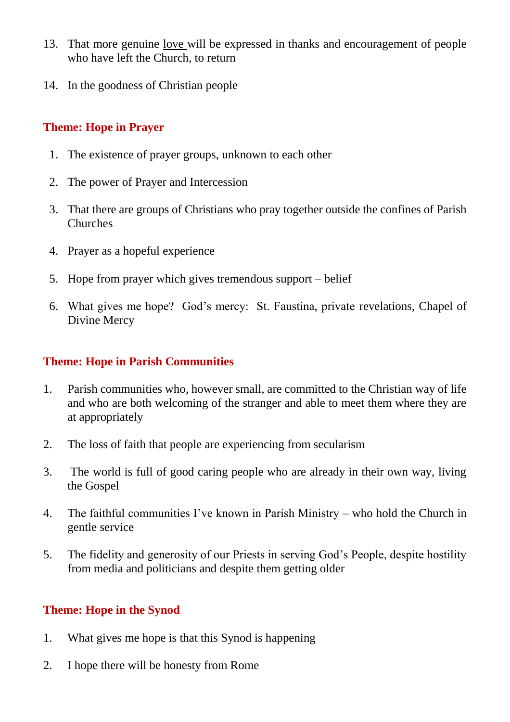- 13. That more genuine love will be expressed in thanks and encouragement of people who have left the Church, to return
- 14. In the goodness of Christian people

# **Theme: Hope in Prayer**

- 1. The existence of prayer groups, unknown to each other
- 2. The power of Prayer and Intercession
- 3. That there are groups of Christians who pray together outside the confines of Parish Churches
- 4. Prayer as a hopeful experience
- 5. Hope from prayer which gives tremendous support belief
- 6. What gives me hope? God's mercy: St. Faustina, private revelations, Chapel of Divine Mercy

# **Theme: Hope in Parish Communities**

- 1. Parish communities who, however small, are committed to the Christian way of life and who are both welcoming of the stranger and able to meet them where they are at appropriately
- 2. The loss of faith that people are experiencing from secularism
- 3. The world is full of good caring people who are already in their own way, living the Gospel
- 4. The faithful communities I've known in Parish Ministry who hold the Church in gentle service
- 5. The fidelity and generosity of our Priests in serving God's People, despite hostility from media and politicians and despite them getting older

# **Theme: Hope in the Synod**

- 1. What gives me hope is that this Synod is happening
- 2. I hope there will be honesty from Rome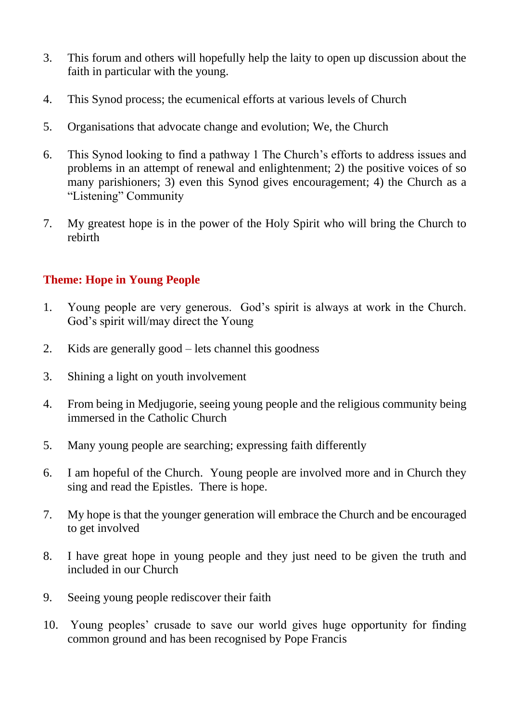- 3. This forum and others will hopefully help the laity to open up discussion about the faith in particular with the young.
- 4. This Synod process; the ecumenical efforts at various levels of Church
- 5. Organisations that advocate change and evolution; We, the Church
- 6. This Synod looking to find a pathway 1 The Church's efforts to address issues and problems in an attempt of renewal and enlightenment; 2) the positive voices of so many parishioners; 3) even this Synod gives encouragement; 4) the Church as a "Listening" Community
- 7. My greatest hope is in the power of the Holy Spirit who will bring the Church to rebirth

# **Theme: Hope in Young People**

- 1. Young people are very generous. God's spirit is always at work in the Church. God's spirit will/may direct the Young
- 2. Kids are generally good lets channel this goodness
- 3. Shining a light on youth involvement
- 4. From being in Medjugorie, seeing young people and the religious community being immersed in the Catholic Church
- 5. Many young people are searching; expressing faith differently
- 6. I am hopeful of the Church. Young people are involved more and in Church they sing and read the Epistles. There is hope.
- 7. My hope is that the younger generation will embrace the Church and be encouraged to get involved
- 8. I have great hope in young people and they just need to be given the truth and included in our Church
- 9. Seeing young people rediscover their faith
- 10. Young peoples' crusade to save our world gives huge opportunity for finding common ground and has been recognised by Pope Francis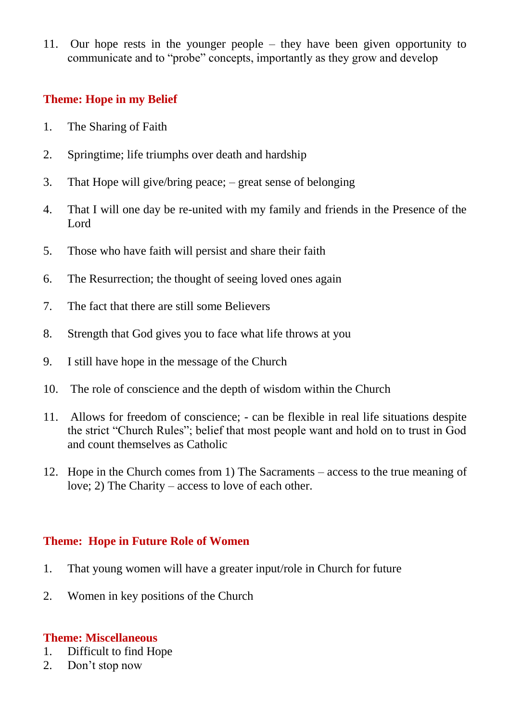11. Our hope rests in the younger people – they have been given opportunity to communicate and to "probe" concepts, importantly as they grow and develop

# **Theme: Hope in my Belief**

- 1. The Sharing of Faith
- 2. Springtime; life triumphs over death and hardship
- 3. That Hope will give/bring peace; great sense of belonging
- 4. That I will one day be re-united with my family and friends in the Presence of the Lord
- 5. Those who have faith will persist and share their faith
- 6. The Resurrection; the thought of seeing loved ones again
- 7. The fact that there are still some Believers
- 8. Strength that God gives you to face what life throws at you
- 9. I still have hope in the message of the Church
- 10. The role of conscience and the depth of wisdom within the Church
- 11. Allows for freedom of conscience; can be flexible in real life situations despite the strict "Church Rules"; belief that most people want and hold on to trust in God and count themselves as Catholic
- 12. Hope in the Church comes from 1) The Sacraments access to the true meaning of love; 2) The Charity – access to love of each other.

# **Theme: Hope in Future Role of Women**

- 1. That young women will have a greater input/role in Church for future
- 2. Women in key positions of the Church

# **Theme: Miscellaneous**

- 1. Difficult to find Hope
- 2. Don't stop now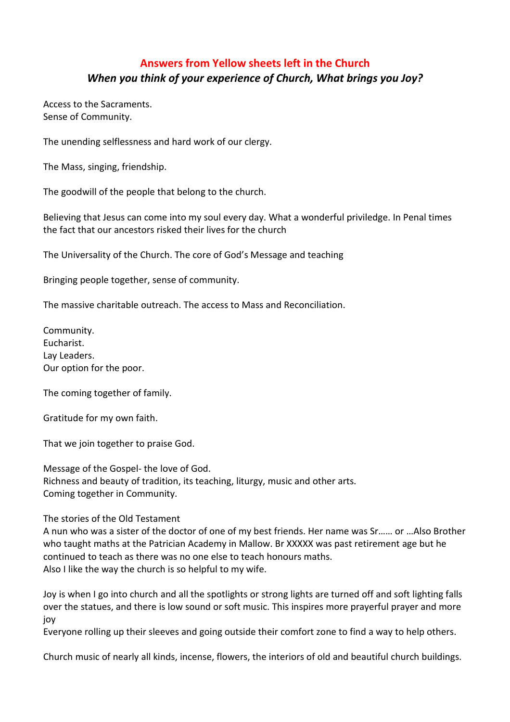# **Answers from Yellow sheets left in the Church** *When you think of your experience of Church, What brings you Joy?*

Access to the Sacraments. Sense of Community.

The unending selflessness and hard work of our clergy.

The Mass, singing, friendship.

The goodwill of the people that belong to the church.

Believing that Jesus can come into my soul every day. What a wonderful priviledge. In Penal times the fact that our ancestors risked their lives for the church

The Universality of the Church. The core of God's Message and teaching

Bringing people together, sense of community.

The massive charitable outreach. The access to Mass and Reconciliation.

Community. Eucharist. Lay Leaders. Our option for the poor.

The coming together of family.

Gratitude for my own faith.

That we join together to praise God.

Message of the Gospel- the love of God. Richness and beauty of tradition, its teaching, liturgy, music and other arts. Coming together in Community.

The stories of the Old Testament

A nun who was a sister of the doctor of one of my best friends. Her name was Sr…… or …Also Brother who taught maths at the Patrician Academy in Mallow. Br XXXXX was past retirement age but he continued to teach as there was no one else to teach honours maths. Also I like the way the church is so helpful to my wife.

Joy is when I go into church and all the spotlights or strong lights are turned off and soft lighting falls over the statues, and there is low sound or soft music. This inspires more prayerful prayer and more joy

Everyone rolling up their sleeves and going outside their comfort zone to find a way to help others.

Church music of nearly all kinds, incense, flowers, the interiors of old and beautiful church buildings.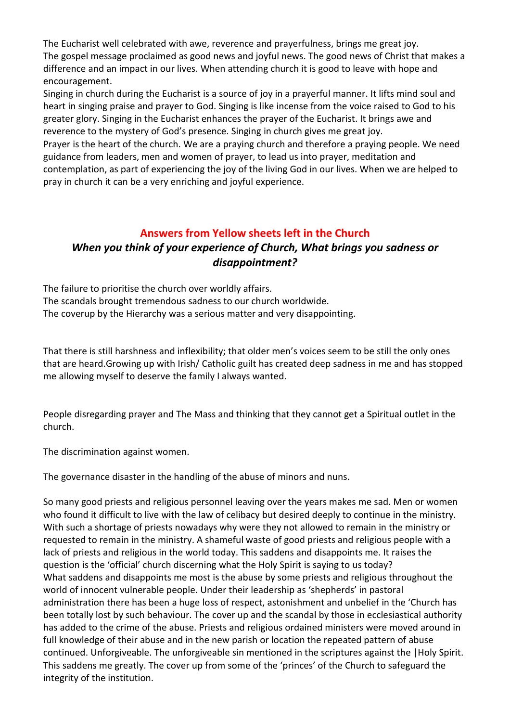The Eucharist well celebrated with awe, reverence and prayerfulness, brings me great joy. The gospel message proclaimed as good news and joyful news. The good news of Christ that makes a difference and an impact in our lives. When attending church it is good to leave with hope and encouragement.

Singing in church during the Eucharist is a source of joy in a prayerful manner. It lifts mind soul and heart in singing praise and prayer to God. Singing is like incense from the voice raised to God to his greater glory. Singing in the Eucharist enhances the prayer of the Eucharist. It brings awe and reverence to the mystery of God's presence. Singing in church gives me great joy.

Prayer is the heart of the church. We are a praying church and therefore a praying people. We need guidance from leaders, men and women of prayer, to lead us into prayer, meditation and contemplation, as part of experiencing the joy of the living God in our lives. When we are helped to pray in church it can be a very enriching and joyful experience.

# **Answers from Yellow sheets left in the Church** *When you think of your experience of Church, What brings you sadness or disappointment?*

The failure to prioritise the church over worldly affairs. The scandals brought tremendous sadness to our church worldwide. The coverup by the Hierarchy was a serious matter and very disappointing.

That there is still harshness and inflexibility; that older men's voices seem to be still the only ones that are heard.Growing up with Irish/ Catholic guilt has created deep sadness in me and has stopped me allowing myself to deserve the family I always wanted.

People disregarding prayer and The Mass and thinking that they cannot get a Spiritual outlet in the church.

The discrimination against women.

The governance disaster in the handling of the abuse of minors and nuns.

So many good priests and religious personnel leaving over the years makes me sad. Men or women who found it difficult to live with the law of celibacy but desired deeply to continue in the ministry. With such a shortage of priests nowadays why were they not allowed to remain in the ministry or requested to remain in the ministry. A shameful waste of good priests and religious people with a lack of priests and religious in the world today. This saddens and disappoints me. It raises the question is the 'official' church discerning what the Holy Spirit is saying to us today? What saddens and disappoints me most is the abuse by some priests and religious throughout the world of innocent vulnerable people. Under their leadership as 'shepherds' in pastoral administration there has been a huge loss of respect, astonishment and unbelief in the 'Church has been totally lost by such behaviour. The cover up and the scandal by those in ecclesiastical authority has added to the crime of the abuse. Priests and religious ordained ministers were moved around in full knowledge of their abuse and in the new parish or location the repeated pattern of abuse continued. Unforgiveable. The unforgiveable sin mentioned in the scriptures against the |Holy Spirit. This saddens me greatly. The cover up from some of the 'princes' of the Church to safeguard the integrity of the institution.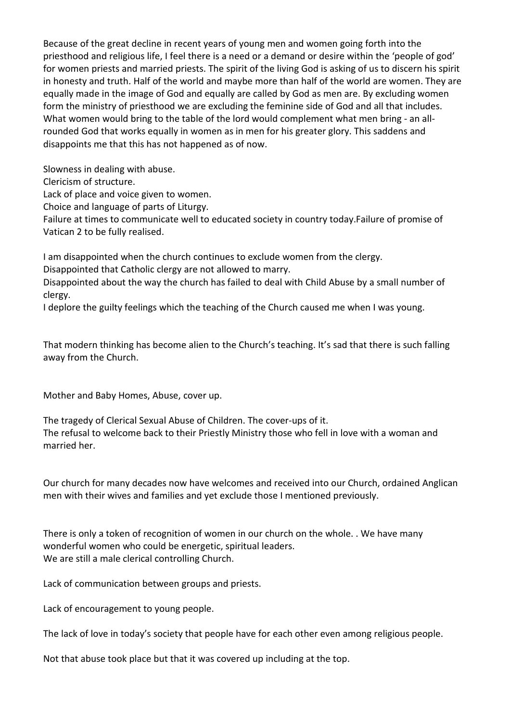Because of the great decline in recent years of young men and women going forth into the priesthood and religious life, I feel there is a need or a demand or desire within the 'people of god' for women priests and married priests. The spirit of the living God is asking of us to discern his spirit in honesty and truth. Half of the world and maybe more than half of the world are women. They are equally made in the image of God and equally are called by God as men are. By excluding women form the ministry of priesthood we are excluding the feminine side of God and all that includes. What women would bring to the table of the lord would complement what men bring - an allrounded God that works equally in women as in men for his greater glory. This saddens and disappoints me that this has not happened as of now.

Slowness in dealing with abuse.

Clericism of structure.

Lack of place and voice given to women.

Choice and language of parts of Liturgy.

Failure at times to communicate well to educated society in country today.Failure of promise of Vatican 2 to be fully realised.

I am disappointed when the church continues to exclude women from the clergy.

Disappointed that Catholic clergy are not allowed to marry.

Disappointed about the way the church has failed to deal with Child Abuse by a small number of clergy.

I deplore the guilty feelings which the teaching of the Church caused me when I was young.

That modern thinking has become alien to the Church's teaching. It's sad that there is such falling away from the Church.

Mother and Baby Homes, Abuse, cover up.

The tragedy of Clerical Sexual Abuse of Children. The cover-ups of it. The refusal to welcome back to their Priestly Ministry those who fell in love with a woman and married her.

Our church for many decades now have welcomes and received into our Church, ordained Anglican men with their wives and families and yet exclude those I mentioned previously.

There is only a token of recognition of women in our church on the whole. . We have many wonderful women who could be energetic, spiritual leaders. We are still a male clerical controlling Church.

Lack of communication between groups and priests.

Lack of encouragement to young people.

The lack of love in today's society that people have for each other even among religious people.

Not that abuse took place but that it was covered up including at the top.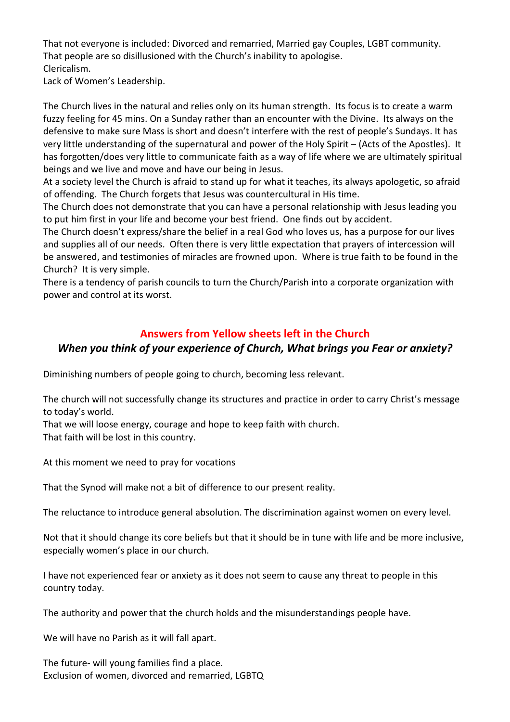That not everyone is included: Divorced and remarried, Married gay Couples, LGBT community. That people are so disillusioned with the Church's inability to apologise. Clericalism.

Lack of Women's Leadership.

The Church lives in the natural and relies only on its human strength. Its focus is to create a warm fuzzy feeling for 45 mins. On a Sunday rather than an encounter with the Divine. Its always on the defensive to make sure Mass is short and doesn't interfere with the rest of people's Sundays. It has very little understanding of the supernatural and power of the Holy Spirit – (Acts of the Apostles). It has forgotten/does very little to communicate faith as a way of life where we are ultimately spiritual beings and we live and move and have our being in Jesus.

At a society level the Church is afraid to stand up for what it teaches, its always apologetic, so afraid of offending. The Church forgets that Jesus was countercultural in His time.

The Church does not demonstrate that you can have a personal relationship with Jesus leading you to put him first in your life and become your best friend. One finds out by accident.

The Church doesn't express/share the belief in a real God who loves us, has a purpose for our lives and supplies all of our needs. Often there is very little expectation that prayers of intercession will be answered, and testimonies of miracles are frowned upon. Where is true faith to be found in the Church? It is very simple.

There is a tendency of parish councils to turn the Church/Parish into a corporate organization with power and control at its worst.

### **Answers from Yellow sheets left in the Church**

### *When you think of your experience of Church, What brings you Fear or anxiety?*

Diminishing numbers of people going to church, becoming less relevant.

The church will not successfully change its structures and practice in order to carry Christ's message to today's world.

That we will loose energy, courage and hope to keep faith with church. That faith will be lost in this country.

At this moment we need to pray for vocations

That the Synod will make not a bit of difference to our present reality.

The reluctance to introduce general absolution. The discrimination against women on every level.

Not that it should change its core beliefs but that it should be in tune with life and be more inclusive, especially women's place in our church.

I have not experienced fear or anxiety as it does not seem to cause any threat to people in this country today.

The authority and power that the church holds and the misunderstandings people have.

We will have no Parish as it will fall apart.

The future- will young families find a place. Exclusion of women, divorced and remarried, LGBTQ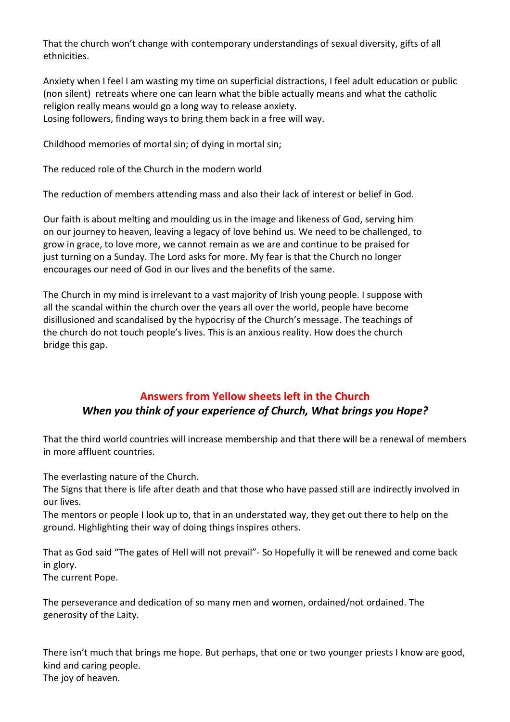That the church won't change with contemporary understandings of sexual diversity, gifts of all ethnicities.

Anxiety when I feel I am wasting my time on superficial distractions, I feel adult education or public (non silent) retreats where one can learn what the bible actually means and what the catholic religion really means would go a long way to release anxiety. Losing followers, finding ways to bring them back in a free will way.

Childhood memories of mortal sin; of dying in mortal sin;

The reduced role of the Church in the modern world

The reduction of members attending mass and also their lack of interest or belief in God.

Our faith is about melting and moulding us in the image and likeness of God, serving him on our journey to heaven, leaving a legacy of love behind us. We need to be challenged, to grow in grace, to love more, we cannot remain as we are and continue to be praised for just turning on a Sunday. The Lord asks for more. My fear is that the Church no longer encourages our need of God in our lives and the benefits of the same.

The Church in my mind is irrelevant to a vast majority of Irish young people. I suppose with all the scandal within the church over the years all over the world, people have become disillusioned and scandalised by the hypocrisy of the Church's message. The teachings of the church do not touch people's lives. This is an anxious reality. How does the church bridge this gap.

# **Answers from Yellow sheets left in the Church** *When you think of your experience of Church, What brings you Hope?*

That the third world countries will increase membership and that there will be a renewal of members in more affluent countries.

The everlasting nature of the Church.

The Signs that there is life after death and that those who have passed still are indirectly involved in our lives.

The mentors or people I look up to, that in an understated way, they get out there to help on the ground. Highlighting their way of doing things inspires others.

That as God said "The gates of Hell will not prevail"- So Hopefully it will be renewed and come back in glory.

The current Pope.

The perseverance and dedication of so many men and women, ordained/not ordained. The generosity of the Laity.

There isn't much that brings me hope. But perhaps, that one or two younger priests I know are good, kind and caring people. The joy of heaven.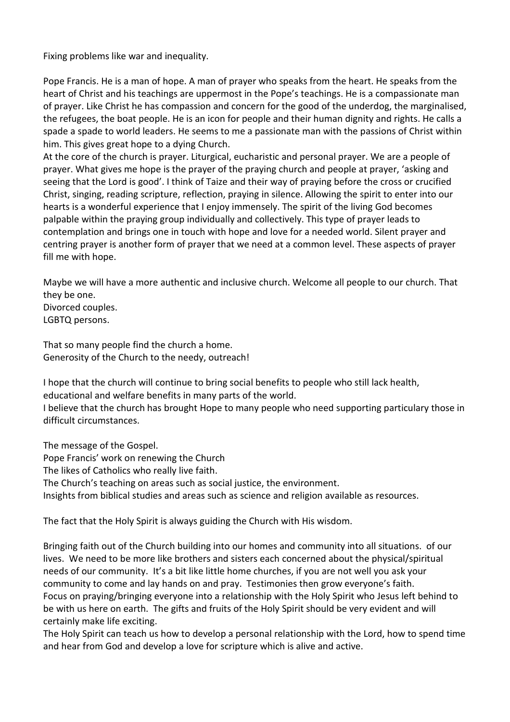Fixing problems like war and inequality.

Pope Francis. He is a man of hope. A man of prayer who speaks from the heart. He speaks from the heart of Christ and his teachings are uppermost in the Pope's teachings. He is a compassionate man of prayer. Like Christ he has compassion and concern for the good of the underdog, the marginalised, the refugees, the boat people. He is an icon for people and their human dignity and rights. He calls a spade a spade to world leaders. He seems to me a passionate man with the passions of Christ within him. This gives great hope to a dying Church.

At the core of the church is prayer. Liturgical, eucharistic and personal prayer. We are a people of prayer. What gives me hope is the prayer of the praying church and people at prayer, 'asking and seeing that the Lord is good'. I think of Taize and their way of praying before the cross or crucified Christ, singing, reading scripture, reflection, praying in silence. Allowing the spirit to enter into our hearts is a wonderful experience that I enjoy immensely. The spirit of the living God becomes palpable within the praying group individually and collectively. This type of prayer leads to contemplation and brings one in touch with hope and love for a needed world. Silent prayer and centring prayer is another form of prayer that we need at a common level. These aspects of prayer fill me with hope.

Maybe we will have a more authentic and inclusive church. Welcome all people to our church. That they be one.

Divorced couples. LGBTQ persons.

That so many people find the church a home. Generosity of the Church to the needy, outreach!

I hope that the church will continue to bring social benefits to people who still lack health, educational and welfare benefits in many parts of the world. I believe that the church has brought Hope to many people who need supporting particulary those in difficult circumstances.

The message of the Gospel.

Pope Francis' work on renewing the Church

The likes of Catholics who really live faith.

The Church's teaching on areas such as social justice, the environment.

Insights from biblical studies and areas such as science and religion available as resources.

The fact that the Holy Spirit is always guiding the Church with His wisdom.

Bringing faith out of the Church building into our homes and community into all situations. of our lives. We need to be more like brothers and sisters each concerned about the physical/spiritual needs of our community. It's a bit like little home churches, if you are not well you ask your community to come and lay hands on and pray. Testimonies then grow everyone's faith. Focus on praying/bringing everyone into a relationship with the Holy Spirit who Jesus left behind to be with us here on earth. The gifts and fruits of the Holy Spirit should be very evident and will certainly make life exciting.

The Holy Spirit can teach us how to develop a personal relationship with the Lord, how to spend time and hear from God and develop a love for scripture which is alive and active.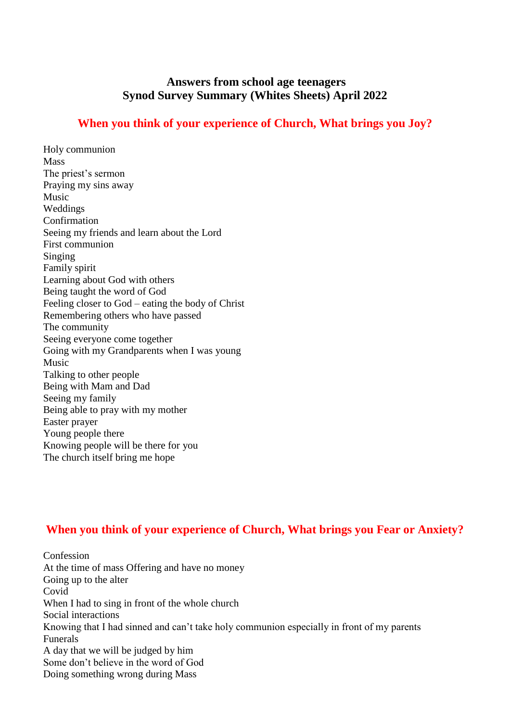### **Answers from school age teenagers Synod Survey Summary (Whites Sheets) April 2022**

### **When you think of your experience of Church, What brings you Joy?**

Holy communion Mass The priest's sermon Praying my sins away Music Weddings Confirmation Seeing my friends and learn about the Lord First communion Singing Family spirit Learning about God with others Being taught the word of God Feeling closer to God – eating the body of Christ Remembering others who have passed The community Seeing everyone come together Going with my Grandparents when I was young Music Talking to other people Being with Mam and Dad Seeing my family Being able to pray with my mother Easter prayer Young people there Knowing people will be there for you The church itself bring me hope

# **When you think of your experience of Church, What brings you Fear or Anxiety?**

Confession At the time of mass Offering and have no money Going up to the alter Covid When I had to sing in front of the whole church Social interactions Knowing that I had sinned and can't take holy communion especially in front of my parents Funerals A day that we will be judged by him Some don't believe in the word of God Doing something wrong during Mass